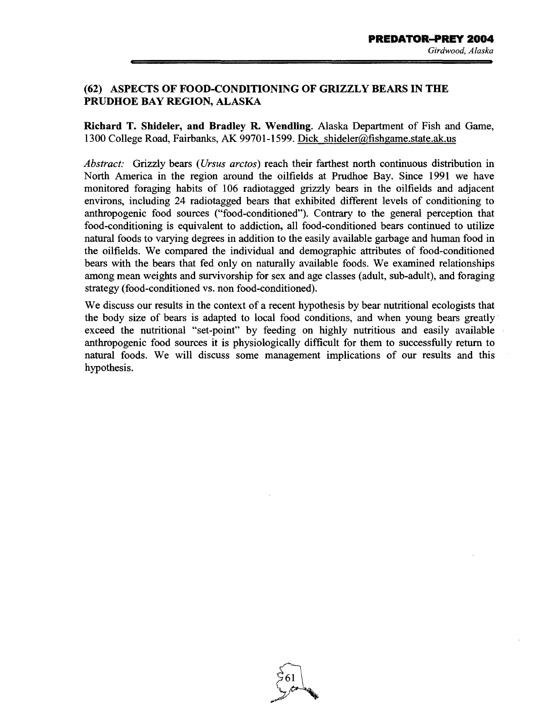## (62) ASPECTS OF FOOD-CONDITIONING OF GRIZZLY BEARS IN THE PRUDHOE BAY REGION, ALASKA

Richard T. Shideler, and Bradley R. Wendling. Alaska Department of Fish and Game, 1300 College Road, Fairbanks, AK 99701-1599. Dick shideler@fishgame.state.ak.us

*Abstract:* Grizzly bears ( *Ursus arctos)* reach their farthest north continuous distribution in North America in the region around the oilfields at Prudhoe Bay. Since 1991 we have monitored foraging habits of 106 radiotagged grizzly bears in the oilfields and adjacent environs, including 24 radiotagged bears that exhibited different levels of conditioning to anthropogenic food sources ("food-conditioned"). Contrary to the general perception that food-conditioning is equivalent to addiction, all food-conditioned bears continued to utilize natural foods to varying degrees in addition to the easily available garbage and human food in the oilfields. We compared the individual and demographic attributes of food-conditioned bears with the bears that fed only on naturally available foods. We examined relationships among mean weights and survivorship for sex and age classes (adult, sub-adult), and foraging strategy (food-conditioned vs. non food-conditioned).

We discuss our results in the context of a recent hypothesis by bear nutritional ecologists that the body size of bears is adapted to local food conditions, and when young bears greatly· exceed the nutritional "set-point" by feeding on highly nutritious and easily available anthropogenic food sources it is physiologically difficult for them to successfully return to natural foods. We will discuss some management implications of our results and this hypothesis.